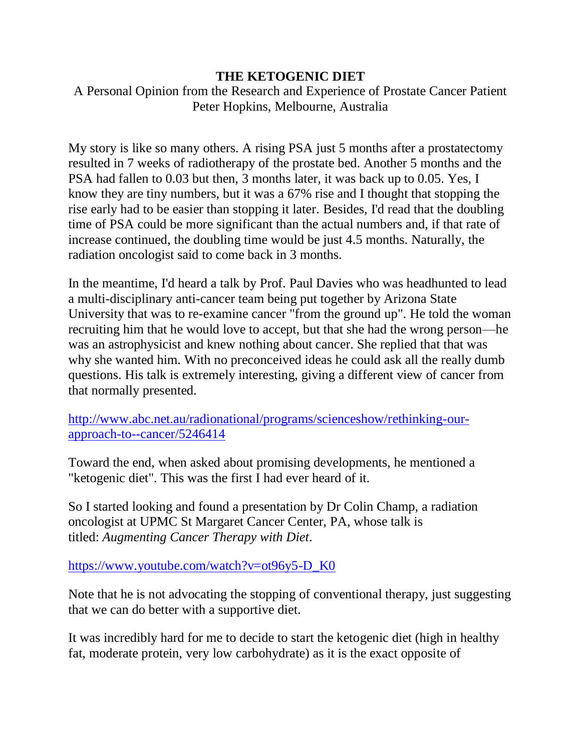#### **THE KETOGENIC DIET**

A Personal Opinion from the Research and Experience of Prostate Cancer Patient Peter Hopkins, Melbourne, Australia

My story is like so many others. A rising PSA just 5 months after a prostatectomy resulted in 7 weeks of radiotherapy of the prostate bed. Another 5 months and the PSA had fallen to 0.03 but then, 3 months later, it was back up to 0.05. Yes, I know they are tiny numbers, but it was a 67% rise and I thought that stopping the rise early had to be easier than stopping it later. Besides, I'd read that the doubling time of PSA could be more significant than the actual numbers and, if that rate of increase continued, the doubling time would be just 4.5 months. Naturally, the radiation oncologist said to come back in 3 months.

In the meantime, I'd heard a talk by Prof. Paul Davies who was headhunted to lead a multi-disciplinary anti-cancer team being put together by Arizona State University that was to re-examine cancer "from the ground up". He told the woman recruiting him that he would love to accept, but that she had the wrong person—he was an astrophysicist and knew nothing about cancer. She replied that that was why she wanted him. With no preconceived ideas he could ask all the really dumb questions. His talk is extremely interesting, giving a different view of cancer from that normally presented.

[http://www.abc.net.au/radionational/programs/scienceshow/rethinking-our](http://www.abc.net.au/radionational/programs/scienceshow/rethinking-our-approach-to--cancer/5246414)[approach-to--cancer/5246414](http://www.abc.net.au/radionational/programs/scienceshow/rethinking-our-approach-to--cancer/5246414)

Toward the end, when asked about promising developments, he mentioned a "ketogenic diet". This was the first I had ever heard of it.

So I started looking and found a presentation by Dr Colin Champ, a radiation oncologist at UPMC St Margaret Cancer Center, PA, whose talk is titled: *Augmenting Cancer Therapy with Diet*.

#### [https://www.youtube.com/watch?v=ot96y5-D\\_K0](https://www.youtube.com/watch?v=ot96y5-D_K0)

Note that he is not advocating the stopping of conventional therapy, just suggesting that we can do better with a supportive diet.

It was incredibly hard for me to decide to start the ketogenic diet (high in healthy fat, moderate protein, very low carbohydrate) as it is the exact opposite of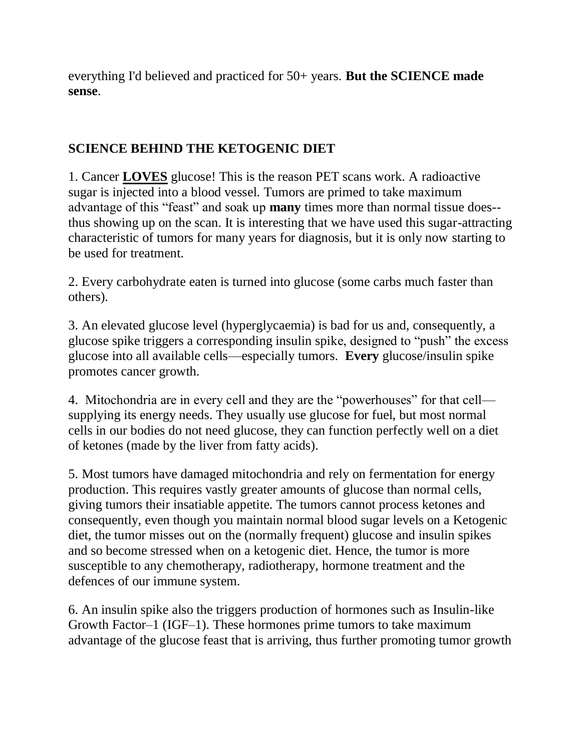everything I'd believed and practiced for 50+ years. **But the SCIENCE made sense**.

### **SCIENCE BEHIND THE KETOGENIC DIET**

1. Cancer **LOVES** glucose! This is the reason PET scans work. A radioactive sugar is injected into a blood vessel. Tumors are primed to take maximum advantage of this "feast" and soak up **many** times more than normal tissue does- thus showing up on the scan. It is interesting that we have used this sugar-attracting characteristic of tumors for many years for diagnosis, but it is only now starting to be used for treatment.

2. Every carbohydrate eaten is turned into glucose (some carbs much faster than others).

3. An elevated glucose level (hyperglycaemia) is bad for us and, consequently, a glucose spike triggers a corresponding insulin spike, designed to "push" the excess glucose into all available cells—especially tumors. **Every** glucose/insulin spike promotes cancer growth.

4. Mitochondria are in every cell and they are the "powerhouses" for that cell supplying its energy needs. They usually use glucose for fuel, but most normal cells in our bodies do not need glucose, they can function perfectly well on a diet of ketones (made by the liver from fatty acids).

5. Most tumors have damaged mitochondria and rely on fermentation for energy production. This requires vastly greater amounts of glucose than normal cells, giving tumors their insatiable appetite. The tumors cannot process ketones and consequently, even though you maintain normal blood sugar levels on a Ketogenic diet, the tumor misses out on the (normally frequent) glucose and insulin spikes and so become stressed when on a ketogenic diet. Hence, the tumor is more susceptible to any chemotherapy, radiotherapy, hormone treatment and the defences of our immune system.

6. An insulin spike also the triggers production of hormones such as Insulin-like Growth Factor–1 (IGF–1). These hormones prime tumors to take maximum advantage of the glucose feast that is arriving, thus further promoting tumor growth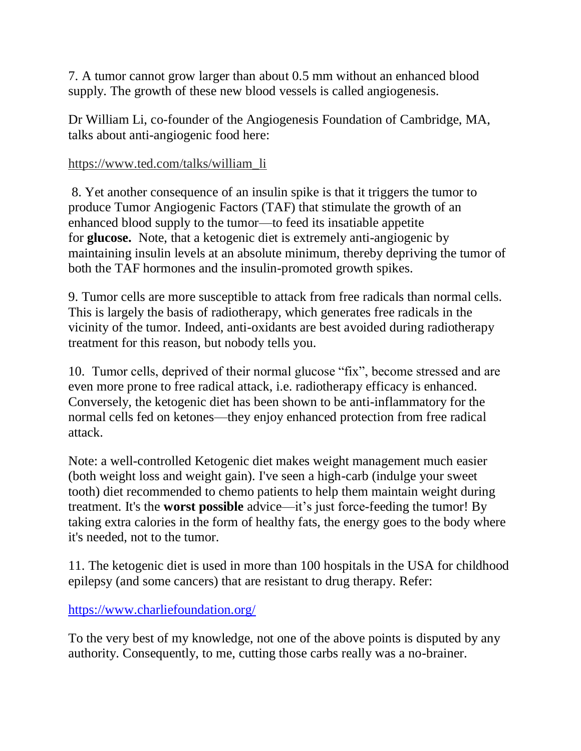7. A tumor cannot grow larger than about 0.5 mm without an enhanced blood supply. The growth of these new blood vessels is called angiogenesis.

Dr William Li, co-founder of the Angiogenesis Foundation of Cambridge, MA, talks about anti-angiogenic food here:

#### [https://www.ted.com/talks/william\\_li](https://www.ted.com/talks/william_li)

8. Yet another consequence of an insulin spike is that it triggers the tumor to produce Tumor Angiogenic Factors (TAF) that stimulate the growth of an enhanced blood supply to the tumor—to feed its insatiable appetite for **glucose.** Note, that a ketogenic diet is extremely anti-angiogenic by maintaining insulin levels at an absolute minimum, thereby depriving the tumor of both the TAF hormones and the insulin-promoted growth spikes.

9. Tumor cells are more susceptible to attack from free radicals than normal cells. This is largely the basis of radiotherapy, which generates free radicals in the vicinity of the tumor. Indeed, anti-oxidants are best avoided during radiotherapy treatment for this reason, but nobody tells you.

10. Tumor cells, deprived of their normal glucose "fix", become stressed and are even more prone to free radical attack, i.e. radiotherapy efficacy is enhanced. Conversely, the ketogenic diet has been shown to be anti-inflammatory for the normal cells fed on ketones—they enjoy enhanced protection from free radical attack.

Note: a well-controlled Ketogenic diet makes weight management much easier (both weight loss and weight gain). I've seen a high-carb (indulge your sweet tooth) diet recommended to chemo patients to help them maintain weight during treatment. It's the **worst possible** advice—it's just force-feeding the tumor! By taking extra calories in the form of healthy fats, the energy goes to the body where it's needed, not to the tumor.

11. The ketogenic diet is used in more than 100 hospitals in the USA for childhood epilepsy (and some cancers) that are resistant to drug therapy. Refer:

<https://www.charliefoundation.org/>

To the very best of my knowledge, not one of the above points is disputed by any authority. Consequently, to me, cutting those carbs really was a no-brainer.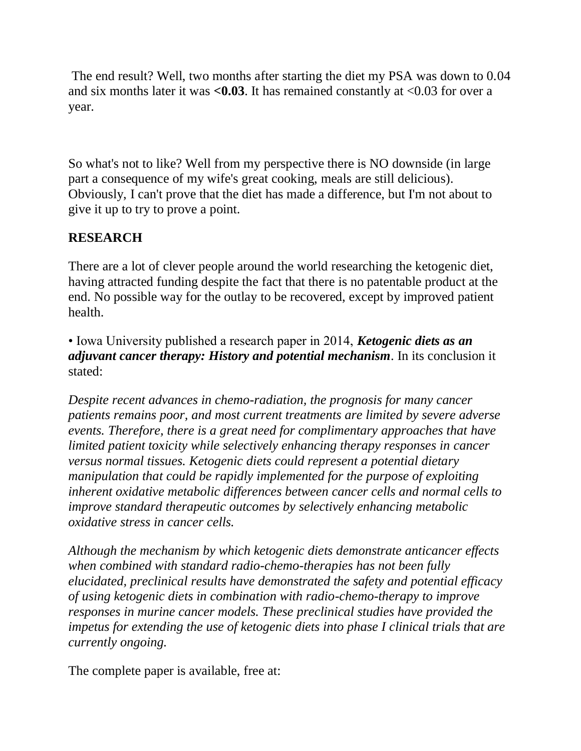The end result? Well, two months after starting the diet my PSA was down to 0.04 and six months later it was **<0.03**. It has remained constantly at <0.03 for over a year.

So what's not to like? Well from my perspective there is NO downside (in large part a consequence of my wife's great cooking, meals are still delicious). Obviously, I can't prove that the diet has made a difference, but I'm not about to give it up to try to prove a point.

## **RESEARCH**

There are a lot of clever people around the world researching the ketogenic diet, having attracted funding despite the fact that there is no patentable product at the end. No possible way for the outlay to be recovered, except by improved patient health.

• Iowa University published a research paper in 2014, *Ketogenic diets as an adjuvant cancer therapy: History and potential mechanism*. In its conclusion it stated:

*Despite recent advances in chemo-radiation, the prognosis for many cancer patients remains poor, and most current treatments are limited by severe adverse events. Therefore, there is a great need for complimentary approaches that have limited patient toxicity while selectively enhancing therapy responses in cancer versus normal tissues. Ketogenic diets could represent a potential dietary manipulation that could be rapidly implemented for the purpose of exploiting inherent oxidative metabolic differences between cancer cells and normal cells to improve standard therapeutic outcomes by selectively enhancing metabolic oxidative stress in cancer cells.*

*Although the mechanism by which ketogenic diets demonstrate anticancer effects when combined with standard radio-chemo-therapies has not been fully elucidated, preclinical results have demonstrated the safety and potential efficacy of using ketogenic diets in combination with radio-chemo-therapy to improve responses in murine cancer models. These preclinical studies have provided the impetus for extending the use of ketogenic diets into phase I clinical trials that are currently ongoing.*

The complete paper is available, free at: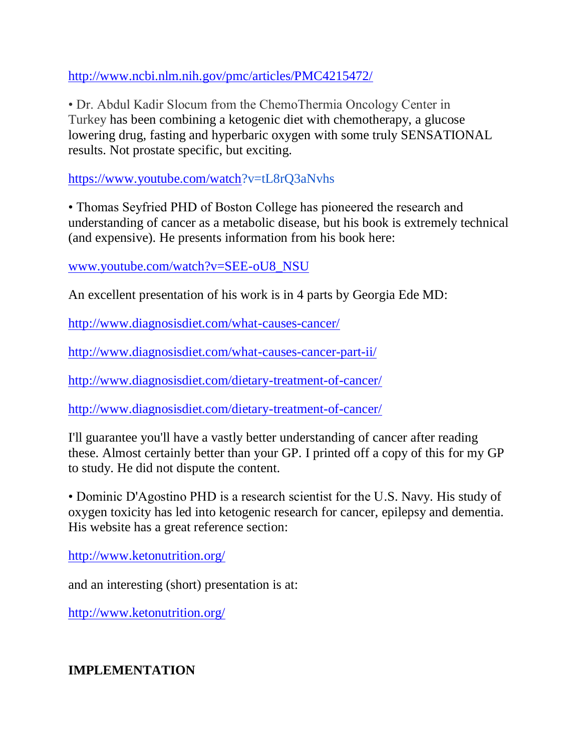<http://www.ncbi.nlm.nih.gov/pmc/articles/PMC4215472/>

• Dr. Abdul Kadir Slocum from the ChemoThermia Oncology Center in Turkey has been combining a ketogenic diet with chemotherapy, a glucose lowering drug, fasting and hyperbaric oxygen with some truly SENSATIONAL results. Not prostate specific, but exciting.

[https://www.youtube.com/watch?](https://www.youtube.com/watch)v=tL8rQ3aNvhs

• Thomas Seyfried PHD of Boston College has pioneered the research and understanding of cancer as a metabolic disease, but his book is extremely technical (and expensive). He presents information from his book here:

[www.youtube.com/watch?v=SEE-oU8\\_NSU](http://www.youtube.com/watch?v=SEE-oU8_NSU)

An excellent presentation of his work is in 4 parts by Georgia Ede MD:

<http://www.diagnosisdiet.com/what-causes-cancer/>

<http://www.diagnosisdiet.com/what-causes-cancer-part-ii/>

<http://www.diagnosisdiet.com/dietary-treatment-of-cancer/>

<http://www.diagnosisdiet.com/dietary-treatment-of-cancer/>

I'll guarantee you'll have a vastly better understanding of cancer after reading these. Almost certainly better than your GP. I printed off a copy of this for my GP to study. He did not dispute the content.

• Dominic D'Agostino PHD is a research scientist for the U.S. Navy. His study of oxygen toxicity has led into ketogenic research for cancer, epilepsy and dementia. His website has a great reference section:

<http://www.ketonutrition.org/>

and an interesting (short) presentation is at:

<http://www.ketonutrition.org/>

**IMPLEMENTATION**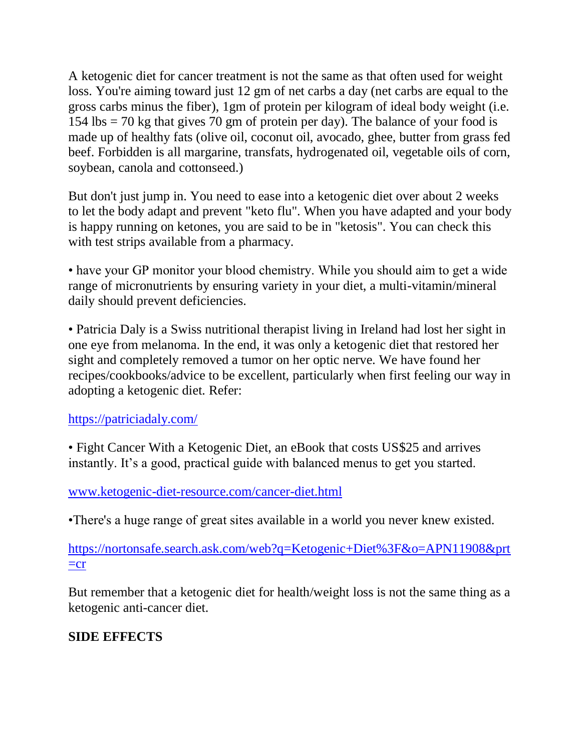A ketogenic diet for cancer treatment is not the same as that often used for weight loss. You're aiming toward just 12 gm of net carbs a day (net carbs are equal to the gross carbs minus the fiber), 1gm of protein per kilogram of ideal body weight (i.e.  $154$  lbs  $= 70$  kg that gives 70 gm of protein per day). The balance of your food is made up of healthy fats (olive oil, coconut oil, avocado, ghee, butter from grass fed beef. Forbidden is all margarine, transfats, hydrogenated oil, vegetable oils of corn, soybean, canola and cottonseed.)

But don't just jump in. You need to ease into a ketogenic diet over about 2 weeks to let the body adapt and prevent "keto flu". When you have adapted and your body is happy running on ketones, you are said to be in "ketosis". You can check this with test strips available from a pharmacy.

• have your GP monitor your blood chemistry. While you should aim to get a wide range of micronutrients by ensuring variety in your diet, a multi-vitamin/mineral daily should prevent deficiencies.

• Patricia Daly is a Swiss nutritional therapist living in Ireland had lost her sight in one eye from melanoma. In the end, it was only a ketogenic diet that restored her sight and completely removed a tumor on her optic nerve. We have found her recipes/cookbooks/advice to be excellent, particularly when first feeling our way in adopting a ketogenic diet. Refer:

<https://patriciadaly.com/>

• Fight Cancer With a Ketogenic Diet, an eBook that costs US\$25 and arrives instantly. It's a good, practical guide with balanced menus to get you started.

[www.ketogenic-diet-resource.com/cancer-diet.html](http://www.ketogenic-diet-resource.com/cancer-diet.html) 

•There's a huge range of great sites available in a world you never knew existed.

[https://nortonsafe.search.ask.com/web?q=Ketogenic+Diet%3F&o=APN11908&prt](https://nortonsafe.search.ask.com/web?q=Ketogenic+Diet%3F&o=APN11908&prt=cr)  $=cr$ 

But remember that a ketogenic diet for health/weight loss is not the same thing as a ketogenic anti-cancer diet.

## **SIDE EFFECTS**